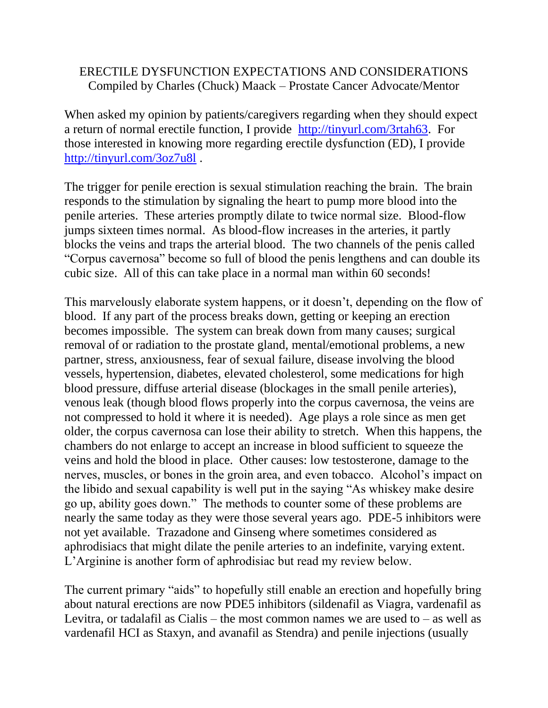# ERECTILE DYSFUNCTION EXPECTATIONS AND CONSIDERATIONS Compiled by Charles (Chuck) Maack – Prostate Cancer Advocate/Mentor

When asked my opinion by patients/caregivers regarding when they should expect a return of normal erectile function, I provide [http://tinyurl.com/3rtah63.](http://tinyurl.com/3rtah63) For those interested in knowing more regarding erectile dysfunction (ED), I provide <http://tinyurl.com/3oz7u8l> .

The trigger for penile erection is sexual stimulation reaching the brain. The brain responds to the stimulation by signaling the heart to pump more blood into the penile arteries. These arteries promptly dilate to twice normal size. Blood-flow jumps sixteen times normal. As blood-flow increases in the arteries, it partly blocks the veins and traps the arterial blood. The two channels of the penis called "Corpus cavernosa" become so full of blood the penis lengthens and can double its cubic size. All of this can take place in a normal man within 60 seconds!

This marvelously elaborate system happens, or it doesn't, depending on the flow of blood. If any part of the process breaks down, getting or keeping an erection becomes impossible. The system can break down from many causes; surgical removal of or radiation to the prostate gland, mental/emotional problems, a new partner, stress, anxiousness, fear of sexual failure, disease involving the blood vessels, hypertension, diabetes, elevated cholesterol, some medications for high blood pressure, diffuse arterial disease (blockages in the small penile arteries), venous leak (though blood flows properly into the corpus cavernosa, the veins are not compressed to hold it where it is needed). Age plays a role since as men get older, the corpus cavernosa can lose their ability to stretch. When this happens, the chambers do not enlarge to accept an increase in blood sufficient to squeeze the veins and hold the blood in place. Other causes: low testosterone, damage to the nerves, muscles, or bones in the groin area, and even tobacco. Alcohol's impact on the libido and sexual capability is well put in the saying "As whiskey make desire go up, ability goes down." The methods to counter some of these problems are nearly the same today as they were those several years ago. PDE-5 inhibitors were not yet available. Trazadone and Ginseng where sometimes considered as aphrodisiacs that might dilate the penile arteries to an indefinite, varying extent. L'Arginine is another form of aphrodisiac but read my review below.

The current primary "aids" to hopefully still enable an erection and hopefully bring about natural erections are now PDE5 inhibitors (sildenafil as Viagra, vardenafil as Levitra, or tadalafil as Cialis – the most common names we are used to – as well as vardenafil HCI as Staxyn, and avanafil as Stendra) and penile injections (usually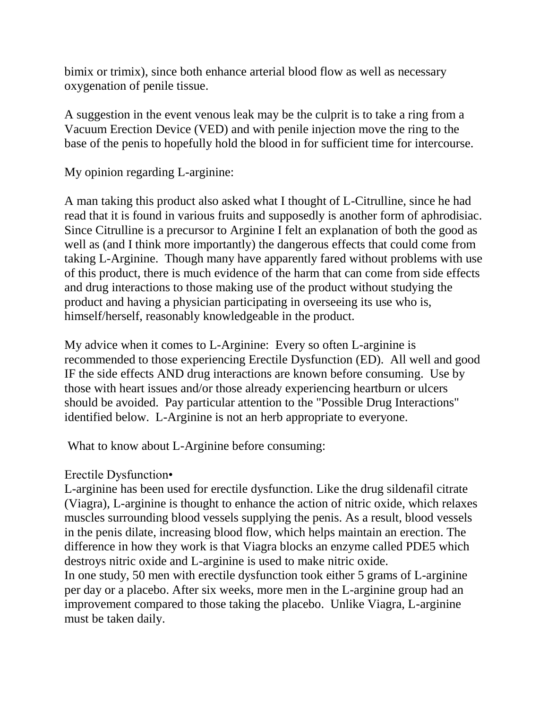bimix or trimix), since both enhance arterial blood flow as well as necessary oxygenation of penile tissue.

A suggestion in the event venous leak may be the culprit is to take a ring from a Vacuum Erection Device (VED) and with penile injection move the ring to the base of the penis to hopefully hold the blood in for sufficient time for intercourse.

My opinion regarding L-arginine:

A man taking this product also asked what I thought of L-Citrulline, since he had read that it is found in various fruits and supposedly is another form of aphrodisiac. Since Citrulline is a precursor to Arginine I felt an explanation of both the good as well as (and I think more importantly) the dangerous effects that could come from taking L-Arginine. Though many have apparently fared without problems with use of this product, there is much evidence of the harm that can come from side effects and drug interactions to those making use of the product without studying the product and having a physician participating in overseeing its use who is, himself/herself, reasonably knowledgeable in the product.

My advice when it comes to L-Arginine: Every so often L-arginine is recommended to those experiencing Erectile Dysfunction (ED). All well and good IF the side effects AND drug interactions are known before consuming. Use by those with heart issues and/or those already experiencing heartburn or ulcers should be avoided. Pay particular attention to the "Possible Drug Interactions" identified below. L-Arginine is not an herb appropriate to everyone.

What to know about L-Arginine before consuming:

# Erectile Dysfunction•

L-arginine has been used for erectile dysfunction. Like the drug sildenafil citrate (Viagra), L-arginine is thought to enhance the action of nitric oxide, which relaxes muscles surrounding blood vessels supplying the penis. As a result, blood vessels in the penis dilate, increasing blood flow, which helps maintain an erection. The difference in how they work is that Viagra blocks an enzyme called PDE5 which destroys nitric oxide and L-arginine is used to make nitric oxide.

In one study, 50 men with erectile dysfunction took either 5 grams of L-arginine per day or a placebo. After six weeks, more men in the L-arginine group had an improvement compared to those taking the placebo. Unlike Viagra, L-arginine must be taken daily.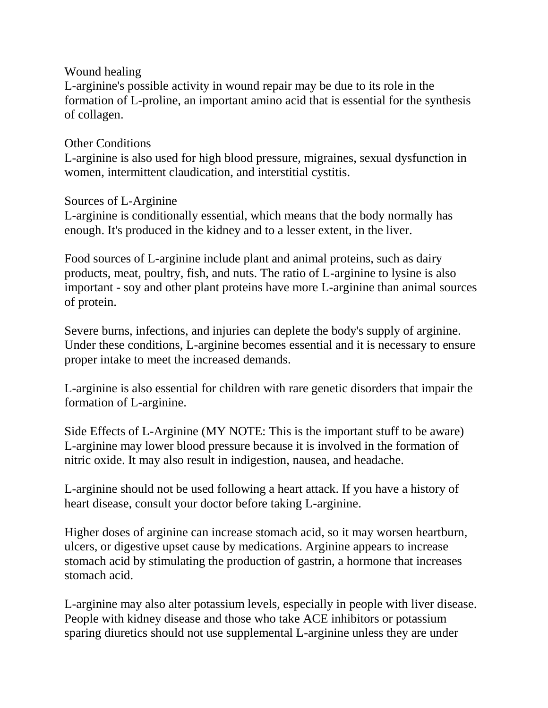#### Wound healing

L-arginine's possible activity in wound repair may be due to its role in the formation of L-proline, an important amino acid that is essential for the synthesis of collagen.

## Other Conditions

L-arginine is also used for high blood pressure, migraines, sexual dysfunction in women, intermittent claudication, and interstitial cystitis.

## Sources of L-Arginine

L-arginine is conditionally essential, which means that the body normally has enough. It's produced in the kidney and to a lesser extent, in the liver.

Food sources of L-arginine include plant and animal proteins, such as dairy products, meat, poultry, fish, and nuts. The ratio of L-arginine to lysine is also important - soy and other plant proteins have more L-arginine than animal sources of protein.

Severe burns, infections, and injuries can deplete the body's supply of arginine. Under these conditions, L-arginine becomes essential and it is necessary to ensure proper intake to meet the increased demands.

L-arginine is also essential for children with rare genetic disorders that impair the formation of L-arginine.

Side Effects of L-Arginine (MY NOTE: This is the important stuff to be aware) L-arginine may lower blood pressure because it is involved in the formation of nitric oxide. It may also result in indigestion, nausea, and headache.

L-arginine should not be used following a heart attack. If you have a history of heart disease, consult your doctor before taking L-arginine.

Higher doses of arginine can increase stomach acid, so it may worsen heartburn, ulcers, or digestive upset cause by medications. Arginine appears to increase stomach acid by stimulating the production of gastrin, a hormone that increases stomach acid.

L-arginine may also alter potassium levels, especially in people with liver disease. People with kidney disease and those who take ACE inhibitors or potassium sparing diuretics should not use supplemental L-arginine unless they are under